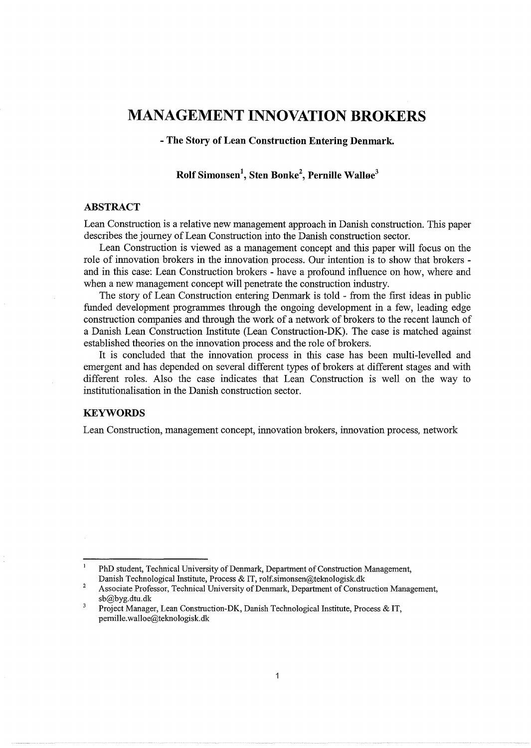# **MANAGEMENT INNOVATION BROKERS**

- **The Story of Lean Construction Entering Denmark.** 

## **Rolf Simonsen<sup>1</sup> , Sten Bonke<sup>2</sup> , Pernille Walloe<sup>3</sup>**

## **ABSTRACT**

Lean Construction is a relative new management approach in Danish construction. This paper describes the journey of Lean Construction into the Danish construction sector.

Lean Construction is viewed as a management concept and this paper will focus on the role of innovation brokers in the innovation process. Our intention is to show that brokers and in this case: Lean Construction brokers- have a profound influence on how, where and when a new management concept will penetrate the construction industry.

The story of Lean Construction entering Denmark is told - from the first ideas in public funded development programmes through the ongoing development in a few, leading edge construction companies and through the work of a network of brokers to the recent launch of a Danish Lean Construction Institute (Lean Construction-DK). The case is matched against established theories on the innovation process and the role of brokers.

It is concluded that the innovation process in this case has been multi-levelled and emergent and has depended on several different types of brokers at different stages and with different roles. Also the case indicates that Lean Construction is well on the way to institutionalisation in the Danish construction sector.

## **KEYWORDS**

Lean Construction, management concept, innovation brokers, innovation process, network

 $\mathbf{I}$ PhD student, Technical University of Denmark, Department of Construction Management, Danish Technological Institute, Process & IT, rolf.simonsen@teknologisk.dk

<sup>2</sup>  Associate Professor, Technical University of Denmark, Department of Construction Management, sb@byg.dtu.dk

 $\overline{\mathbf{3}}$ Project Manager, Lean Construction-DK, Danish Technological Institute, Process & IT, pemille. walloe@tekno logisk.dk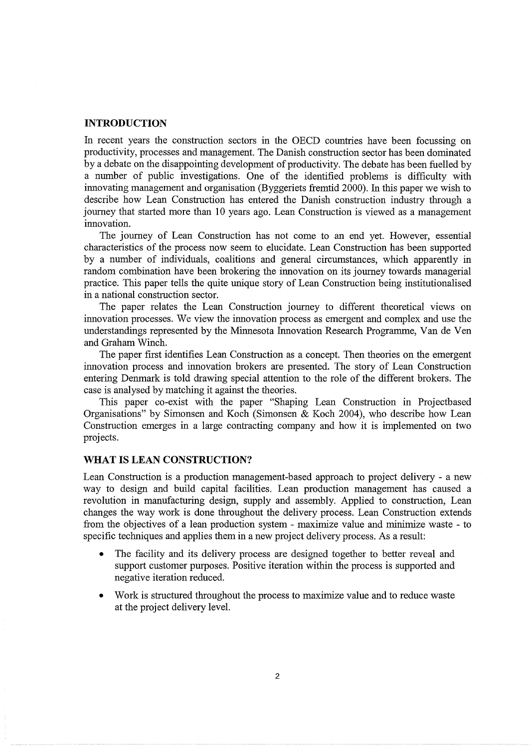## **INTRODUCTION**

In recent years the construction sectors in the OECD countries have been focussing on productivity, processes and management. The Danish construction sector has been dominated by a debate on the disappointing development of productivity. The debate has been fuelled by a number of public investigations. One of the identified problems is difficulty with innovating management and organisation (Byggeriets fremtid 2000). In this paper we wish to describe how Lean Construction has entered the Danish construction industry through a journey that started more than 10 years ago. Lean Construction is viewed as a management innovation.

The journey of Lean Construction has not come to an end yet. However, essential characteristics of the process now seem to elucidate. Lean Construction has been supported by a number of individuals, coalitions and general circumstances, which apparently in random combination have been brokering the innovation on its journey towards managerial practice. This paper tells the quite unique story of Lean Construction being institutionalised in a national construction sector.

The paper relates the Lean Construction journey to different theoretical views on innovation processes. We view the innovation process as emergent and complex and use the understandings represented by the Minnesota Innovation Research Programme, Van de Ven and Graham Winch.

The paper first identifies Lean Construction as a concept. Then theories on the emergent innovation process and innovation brokers are presented. The story of Lean Construction entering Denmark is told drawing special attention to the role of the different brokers. The case is analysed by matching it against the theories.

This paper co-exist with the paper "Shaping Lean Construction in Projectbased Organisations" by Simonsen and Koch (Simonsen & Koch 2004), who describe how Lean Construction emerges in a large contracting company and how it is implemented on two projects.

## **WHAT IS LEAN CONSTRUCTION?**

Lean Construction is a production management-based approach to project delivery- a new way to design and build capital facilities. Lean production management has caused a revolution in manufacturing design, supply and assembly. Applied to construction, Lean changes the way work is done throughout the delivery process. Lean Construction extends from the objectives of a lean production system- maximize value and minimize waste -to specific techniques and applies them in a new project delivery process. As a result:

- The facility and its delivery process are designed together to better reveal and support customer purposes. Positive iteration within the process is supported and negative iteration reduced.
- Work is structured throughout the process to maximize value and to reduce waste at the project delivery level.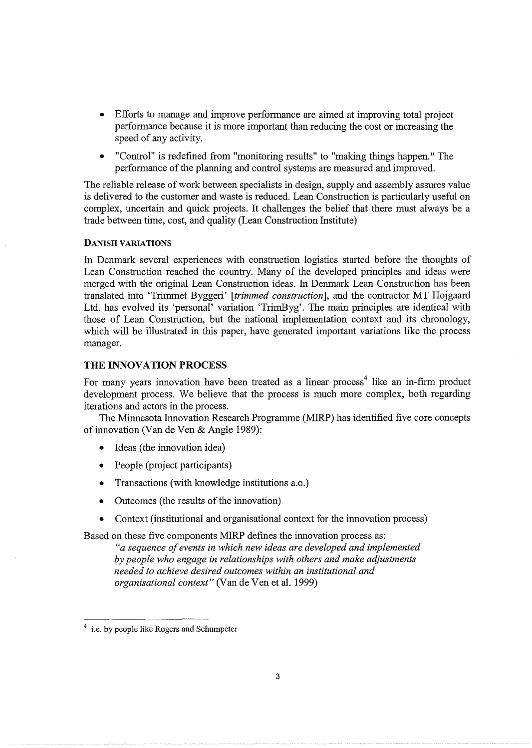- Efforts to manage and improve performance are aimed at improving total project performance because it is more important than reducing the cost or increasing the speed of any activity.
- "Control" is redefined from "monitoring results" to "making things happen." The performance of the planning and control systems are measured and improved.

The reliable release of work between specialists in design, supply and assembly assures value is delivered to the customer and waste is reduced. Lean Construction is particularly useful on complex, uncertain and quick projects. It challenges the belief that there must always be a trade between time, cost, and quality (Lean Construction Institute)

### DANISH VARIATIONS

In Denmark several experiences with construction logistics started before the thoughts of Lean Construction reached the country. Many of the developed principles and ideas were merged with the original Lean Construction ideas. In Denmark Lean Construction has been translated into 'Trimmet Byggeri' *[trimmed construction],* and the contractor MT Hojgaard Ltd. has evolved its 'personal' variation 'TrimByg'. The main principles are identical with those of Lean Construction, but the national implementation context and its chronology, which will be illustrated in this paper, have generated important variations like the process manager.

## **THE INNOVATION PROCESS**

For many years innovation have been treated as a linear process<sup>4</sup> like an in-firm product development process. We believe that the process is much more complex, both regarding iterations and actors in the process.

The Minnesota Innovation Research Programme (MIRP) has identified five core concepts of innovation (Van de Yen & Angle 1989):

- Ideas (the innovation idea)
- People (project participants)
- Transactions (with knowledge institutions a.o.)
- Outcomes (the results of the innovation)
- Context (institutional and organisational context for the innovation process)

Based on these five components MIRP defines the innovation process as:

*"a sequence of events in which new ideas are developed and implemented by people who engage in relationships with others and make adjustments needed to achieve desired outcomes within an institutional and organisational context"* (Van de Ven et al. 1999)

<sup>&</sup>lt;sup>4</sup> i.e. by people like Rogers and Schumpeter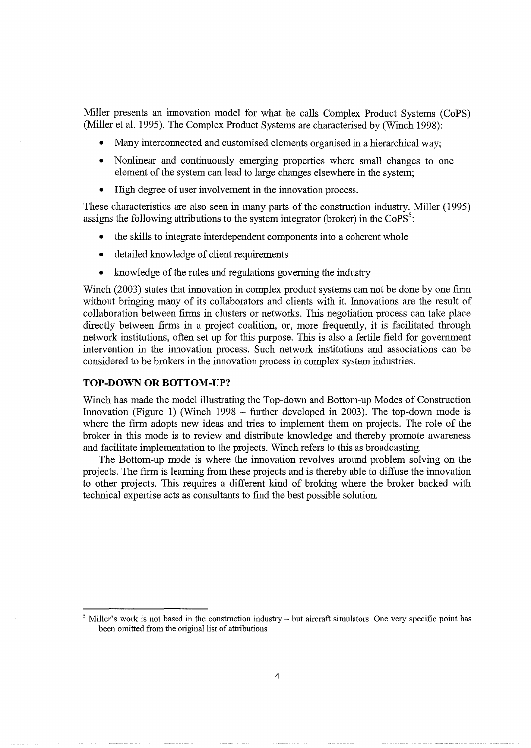Miller presents an innovation model for what he calls Complex Product Systems (CoPS) (Miller et al. 1995). The Complex Product Systems are characterised by (Winch 1998):

- Many interconnected and customised elements organised in a hierarchical way;
- Nonlinear and continuously emerging properties where small changes to one element of the system can lead to large changes elsewhere in the system;
- High degree of user involvement in the innovation process.

These characteristics are also seen in many parts of the construction industry. Miller (1995) assigns the following attributions to the system integrator (broker) in the  $CoPS<sup>5</sup>$ :

- the skills to integrate interdependent components into a coherent whole
- detailed knowledge of client requirements
- knowledge of the rules and regulations governing the industry

Winch (2003) states that innovation in complex product systems can not be done by one firm without bringing many of its collaborators and clients with it. hmovations are the result of collaboration between firms in clusters or networks. This negotiation process can take place directly between firms in a project coalition, or, more frequently, it is facilitated through network institutions, often set up for this purpose. This is also a fertile field for government intervention in the innovation process. Such network institutions and associations can be considered to be brokers in the innovation process in complex system industries.

## **TOP-DOWN OR BOTTOM-UP?**

Winch has made the model illustrating the Top-down and Bottom-up Modes of Construction Innovation (Figure 1) (Winch 1998 - further developed in 2003). The top-down mode is where the firm adopts new ideas and tries to implement them on projects. The role of the broker in this mode is to review and distribute knowledge and thereby promote awareness and facilitate implementation to the projects. Winch refers to this as broadcasting.

The Bottom-up mode is where the innovation revolves around problem solving on the projects. The firm is learning from these projects and is thereby able to diffuse the innovation to other projects. This requires a different kind of broking where the broker backed with technical expertise acts as consultants to find the best possible solution.

 $<sup>5</sup>$  Miller's work is not based in the construction industry – but aircraft simulators. One very specific point has</sup> been omitted from the original list of attributions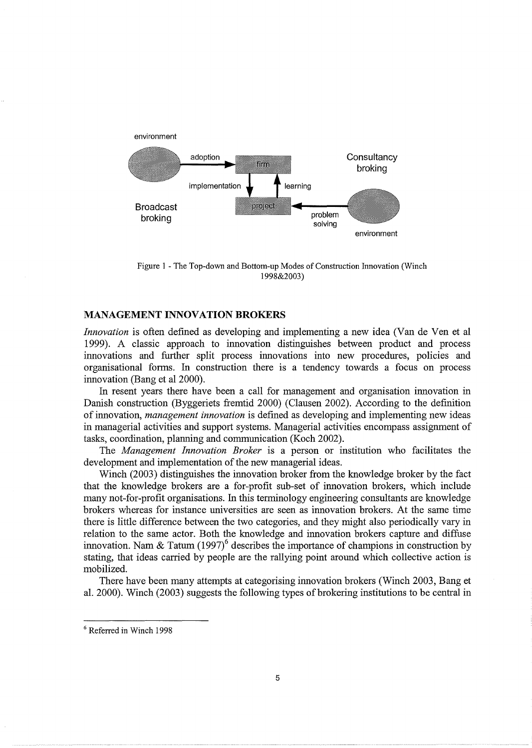

Figure 1 - The Top-down and Bottom-up Modes of Construction Innovation (Winch 1998&2003)

#### **MANAGEMENT INNOVATION BROKERS**

*Innovation* is often defined as developing and implementing a new idea (Van de Ven et al 1999). A classic approach to innovation distinguishes between product and process innovations and further split process innovations into new procedures, policies and organisational forms. In construction there is a tendency towards a focus on process innovation (Bang et al 2000).

In resent years there have been a call for management and organisation innovation in Danish construction (Byggeriets fremtid 2000) (Clausen 2002). According to the definition of innovation, *management innovation* is defined as developing and implementing new ideas in managerial activities and support systems. Managerial activities encompass assignment of tasks, coordination, planning and communication (Koch 2002).

The *Management Innovation Broker* is a person or institution who facilitates the development and implementation of the new managerial ideas.

Winch (2003) distinguishes the innovation broker from the knowledge broker by the fact that the knowledge brokers are a for-profit sub-set of innovation brokers, which include many not-for-profit organisations. In this terminology engineering consultants are knowledge brokers whereas for instance universities are seen as innovation brokers. At the same time there is little difference between the two categories, and they might also periodically vary in relation to the same actor. Both the knowledge and innovation brokers capture and diffuse innovation. Nam & Tatum  $(1997)^6$  describes the importance of champions in construction by stating, that ideas carried by people are the rallying point around which collective action is mobilized.

There have been many attempts at categorising innovation brokers (Winch 2003, Bang et al. 2000). Winch  $(2003)$  suggests the following types of brokering institutions to be central in

<sup>6</sup> Referred in Winch 1998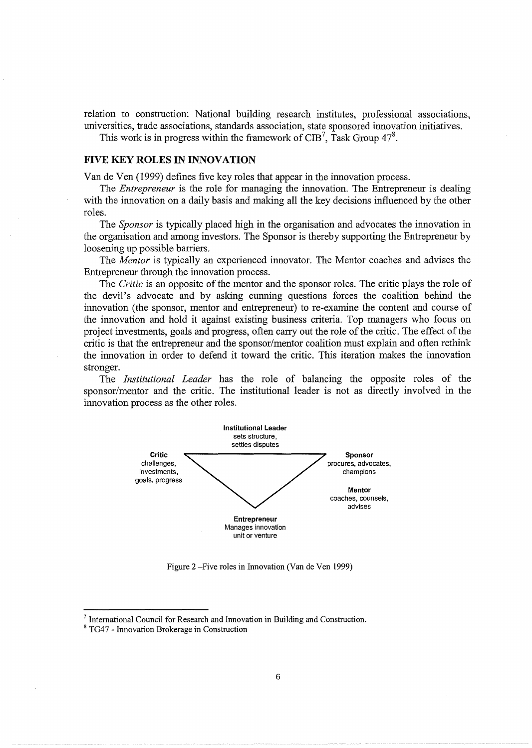relation to construction: National building research institutes, professional associations, universities, trade associations, standards association, state sponsored innovation initiatives.

This work is in progress within the framework of CIB<sup>7</sup>, Task Group  $47^8$ .

#### **FIVE KEY ROLES IN INNOVATION**

Van de Yen (1999) defines five key roles that appear in the innovation process.

The *Entrepreneur* is the role for managing the innovation. The Entrepreneur is dealing with the innovation on a daily basis and making all the key decisions influenced by the other roles.

The *Sponsor* is typically placed high in the organisation and advocates the innovation in the organisation and among investors. The Sponsor is thereby supporting the Entrepreneur by loosening up possible barriers.

The *Mentor* is typically an experienced innovator. The Mentor coaches and advises the Entrepreneur through the innovation process.

The *Critic* is an opposite of the mentor and the sponsor roles. The critic plays the role of the devil's advocate and by asking cunning questions forces the coalition behind the innovation (the sponsor, mentor and entrepreneur) to re-examine the content and course of the innovation and hold it against existing business criteria. Top managers who focus on project investments, goals and progress, often carry out the role of the critic. The effect of the critic is that the entrepreneur and the sponsor/mentor coalition must explain and often rethink the innovation in order to defend it toward the critic. This iteration makes the innovation stronger.

The *Institutional Leader* has the role of balancing the opposite roles of the sponsor/mentor and the critic. The institutional leader is not as directly involved in the innovation process as the other roles.



Figure 2 -Five roles in Innovation (Van de Ven 1999)

<sup>&</sup>lt;sup>7</sup> International Council for Research and Innovation in Building and Construction.  $8$  TG47 - Innovation Brokerage in Construction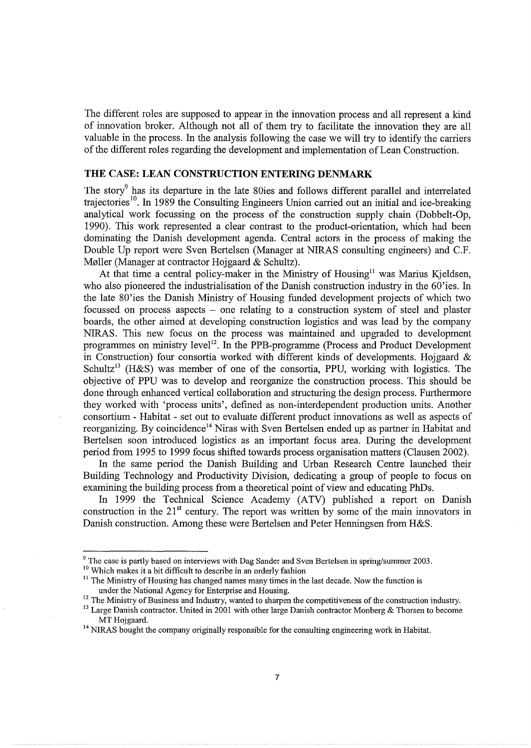The different roles are supposed to appear in the innovation process and all represent a kind of innovation broker. Although not all of them try to facilitate the innovation they are all valuable in the process. In the analysis following the case we will try to identify the carriers of the different roles regarding the development and implementation of Lean Construction.

## **THE CASE: LEAN CONSTRUCTION ENTERING DENMARK**

The story<sup>9</sup> has its departure in the late 80ies and follows different parallel and interrelated trajectories<sup>10</sup>. In 1989 the Consulting Engineers Union carried out an initial and ice-breaking analytical work focussing on the process of the construction supply chain (Dobbelt-Op, 1990). This work represented a clear contrast to the product-orientation, which had been dominating the Danish development agenda. Central actors in the process of making the Double Up report were Sven Bertelsen (Manager at NIRAS consulting engineers) and C.F. Møller (Manager at contractor Hojgaard & Schultz).

At that time a central policy-maker in the Ministry of Housing<sup>11</sup> was Marius Kjeldsen, who also pioneered the industrialisation of the Danish construction industry in the 60'ies. In the late 80'ies the Danish Ministry of Housing funded development projects of which two focussed on process aspects - one relating to a construction system of steel and plaster boards, the other aimed at developing construction logistics and was lead by the company NIRAS. This new focus on the process was maintained and upgraded to development programmes on ministry level<sup>12</sup>. In the PPB-programme (Process and Product Development in Construction) four consortia worked with different kinds of developments. Hojgaard  $\&$ Schultz<sup>13</sup> (H&S) was member of one of the consortia, PPU, working with logistics. The objective of PPU was to develop and reorganize the construction process. This should be done through enhanced vertical collaboration and structuring the design process. Furthermore they worked with 'process units', defined as non-interdependent production units. Another consortium - Habitat - set out to evaluate different product innovations as well as aspects of reorganizing. By coincidence<sup>14</sup> Niras with Sven Bertelsen ended up as partner in Habitat and Bertelsen soon introduced logistics as an important focus area. During the development period from 1995 to 1999 focus shifted towards process organisation matters (Clausen 2002).

In the same period the Danish Building and Urban Research Centre launched their Building Technology and Productivity Division, dedicating a group of people to focus on examining the building process from a theoretical point of view and educating PhDs.

In 1999 the Technical Science Academy (ATV) published a report on Danish construction in the  $21<sup>st</sup>$  century. The report was written by some of the main innovators in Danish construction. Among these were Bertelsen and Peter Henningsen from H&S.

<sup>9</sup> The case is partly based on interviews with Dag Sander and Sven Bertelsen in spring/summer 2003. <sup>10</sup> Which makes it a bit difficult to describe in an orderly fashion

 $11$  The Ministry of Housing has changed names many times in the last decade. Now the function is under the National Agency for Enterprise and Housing.

<sup>&</sup>lt;sup>12</sup> The Ministry of Business and Industry, wanted to sharpen the competitiveness of the construction industry.

<sup>&</sup>lt;sup>13</sup> Large Danish contractor. United in 2001 with other large Danish contractor Monberg & Thorsen to become MT Hojgaard.<br><sup>14</sup> NIRAS bought the company originally responsible for the consulting engineering work in Habitat.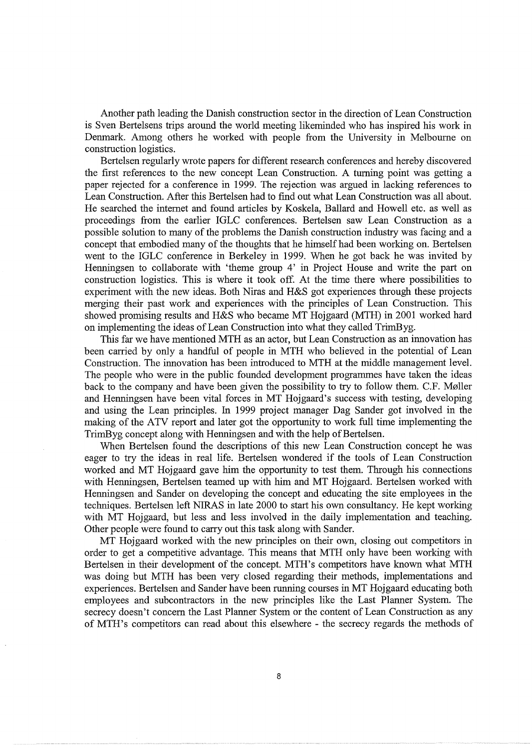Another path leading the Danish construction sector in the direction of Lean Construction is Sven Bertelsens trips around the world meeting likeminded who has inspired his work in Denmark. Among others he worked with people from the University in Melbourne on construction logistics.

Bertelsen regularly wrote papers for different research conferences and hereby discovered the first references to the new concept Lean Construction. A turning point was getting a paper rejected for a conference in 1999. The rejection was argued in lacking references to Lean Construction. After this Bertelsen had to find out what Lean Construction was all about. He searched the internet and found articles by Koskela, Ballard and Howell etc. as well as proceedings from the earlier IGLC conferences. Bertelsen saw Lean Construction as a possible solution to many of the problems the Danish construction industry was facing and a concept that embodied many of the thoughts that he himself had been working on. Bertelsen went to the IGLC conference in Berkeley in 1999. When he got back he was invited by Henningsen to collaborate with 'theme group 4' in Project House and write the part on construction logistics. This is where it took off. At the time there where possibilities to experiment with the new ideas. Both Niras and H&S got experiences through these projects merging their past work and experiences with the principles of Lean Construction. This showed promising results and H&S who became MT Hojgaard (MTH) in 2001 worked hard on implementing the ideas of Lean Construction into what they called TrimByg.

This far we have mentioned MTH as an actor, but Lean Construction as an innovation has been carried by only a handful of people in MTH who believed in the potential of Lean Construction. The innovation has been introduced to MTH at the middle management level. The people who were in the public founded development programmes have taken the ideas back to the company and have been given the possibility to try to follow them. C.F. Møller and Henningsen have been vital forces in MT Hojgaard's success with testing, developing and using the Lean principles. In 1999 project manager Dag Sander got involved in the making of the ATV report and later got the opportunity to work full time implementing the TrimByg concept along with Henningsen and with the help of Bertelsen.

When Bertelsen found the descriptions of this new Lean Construction concept he was eager to try the ideas in real life. Bertelsen wondered if the tools of Lean Construction worked and MT Hojgaard gave him the opportunity to test them. Through his connections with Henningsen, Bertelsen teamed up with him and MT Hojgaard. Bertelsen worked with Henningsen and Sander on developing the concept and educating the site employees in the techniques. Bertelsen left NIRAS in late 2000 to start his own consultancy. He kept working with MT Hojgaard, but less and less involved in the daily implementation and teaching. Other people were found to carry out this task along with Sander.

MT Hojgaard worked with the new principles on their own, closing out competitors in order to get a competitive advantage. This means that MTH only have been working with Bertelsen in their development of the concept. MTH's competitors have known what MTH was doing but MTH has been very closed regarding their methods, implementations and experiences. Bertelsen and Sander have been running courses in MT Hojgaard educating both employees and subcontractors in the new principles like the Last Planner System. The secrecy doesn't concern the Last Planner System or the content of Lean Construction as any of MTH's competitors can read about this elsewhere - the secrecy regards the methods of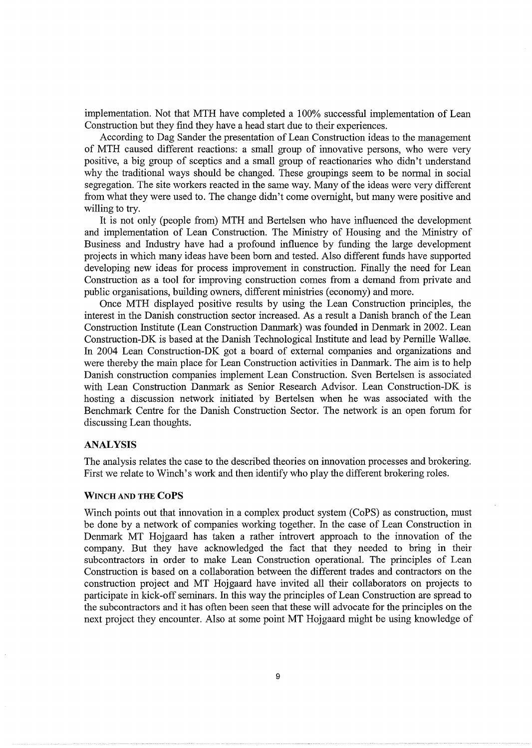implementation. Not that MTH have completed a 100% successful implementation of Lean Construction but they find they have a head start due to their experiences.

According to Dag Sander the presentation of Lean Construction ideas to the management of MTH caused different reactions: a small group of innovative persons, who were very positive, a big group of sceptics and a small group of reactionaries who didn't understand why the traditional ways should be changed. These groupings seem to be normal in social segregation. The site workers reacted in the same way. Many of the ideas were very different from what they were used to. The change didn't come overnight, but many were positive and willing to try.

It is not only (people from) MTH and Bertelsen who have influenced the development and implementation of Lean Construction. The Ministry of Housing and the Ministry of Business and Industry have had a profound influence by funding the large development projects in which many ideas have been born and tested. Also different funds have supported developing new ideas for process improvement in construction. Finally the need for Lean Construction as a tool for improving construction comes from a demand from private and public organisations, building owners, different ministries (economy) and more.

Once MTH displayed positive results by using the Lean Construction principles, the interest in the Danish construction sector increased. As a result a Danish branch of the Lean Construction Institute (Lean Construction Danmark) was founded in Denmark in 2002. Lean Construction-DK is based at the Danish Technological Institute and lead by Pernille Walløe. In 2004 Lean Construction-DK got a board of external companies and organizations and were thereby the main place for Lean Construction activities in Danmark. The aim is to help Danish construction companies implement Lean Construction. Sven Bertelsen is associated with Lean Construction Danmark as Senior Research Advisor. Lean Construction-DK is hosting a discussion network initiated by Bertelsen when he was associated with the Benchmark Centre for the Danish Construction Sector. The network is an open forum for discussing Lean thoughts.

#### ANALYSIS

The analysis relates the case to the described theories on innovation processes and brokering. First we relate to Winch's work and then identify who play the different brokering roles.

#### WINCH AND THE CoPS

Winch points out that innovation in a complex product system (CoPS) as construction, must be done by a network of companies working together. In the case of Lean Construction in Denmark MT Hojgaard has taken a rather introvert approach to the innovation of the company. But they have acknowledged the fact that they needed to bring in their subcontractors in order to make Lean Construction operational. The principles of Lean Construction is based on a collaboration between the different trades and contractors on the construction project and MT Hojgaard have invited all their collaborators on projects to participate in kick-off seminars. In this way the principles of Lean Construction are spread to the subcontractors and it has often been seen that these will advocate for the principles on the next project they encounter. Also at some point MT Hojgaard might be using knowledge of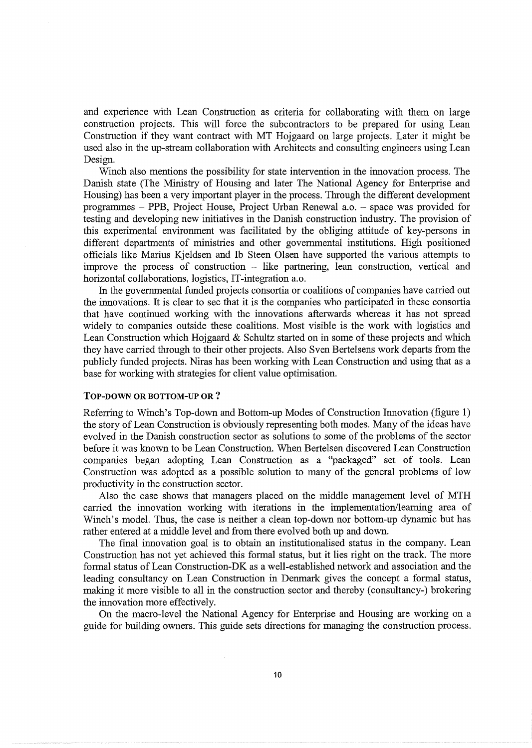and experience with Lean Construction as criteria for collaborating with them on large construction projects. This will force the subcontractors to be prepared for using Lean Construction if they want contract with MT Hojgaard on large projects. Later it might be used also in the up-stream collaboration with Architects and consulting engineers using Lean Design.

Winch also mentions the possibility for state intervention in the innovation process. The Danish state (The Ministry of Housing and later The National Agency for Enterprise and Housing) has been a very important player in the process. Through the different development programmes - PPB, Project House, Project Urban Renewal a.o. - space was provided for testing and developing new initiatives in the Danish construction industry. The provision of this experimental environment was facilitated by the obliging attitude of key-persons in different departments of ministries and other governmental institutions. High positioned officials like Marius Kjeldsen and lb Steen Olsen have supported the various attempts to improve the process of construction - like partnering, lean construction, vertical and horizontal collaborations, logistics, IT-integration a.o.

In the governmental funded projects consortia or coalitions of companies have carried out the innovations. It is clear to see that it is the companies who participated in these consortia that have continued working with the innovations afterwards whereas it has not spread widely to companies outside these coalitions. Most visible is the work with logistics and Lean Construction which Hojgaard & Schultz started on in some of these projects and which they have carried through to their other projects. Also Sven Bertelsens work departs from the publicly funded projects. Niras has been working with Lean Construction and using that as a base for working with strategies for client value optimisation.

#### TOP-DOWN OR BOTTOM-UP OR ?

Referring to Winch's Top-down and Bottom-up Modes of Construction Innovation (figure 1) the story of Lean Construction is obviously representing both modes. Many of the ideas have evolved in the Danish construction sector as solutions to some of the problems of the sector before it was known to be Lean Construction. When Bertelsen discovered Lean Construction companies began adopting Lean Construction as a "packaged" set of tools. Lean Construction was adopted as a possible solution to many of the general problems of low productivity in the construction sector.

Also the case shows that managers placed on the middle management level of MTH carried the innovation working with iterations in the implementation/learning area of Winch's model. Thus, the case is neither a clean top-down nor bottom-up dynamic but has rather entered at a middle level and from there evolved both up and down.

The final innovation goal is to obtain an institutionalised status in the company. Lean Construction has not yet achieved this formal status, but it lies right on the track. The more formal status of Lean Construction-DK as a well-established network and association and the leading consultancy on Lean Construction in Denmark gives the concept a formal status, making it more visible to all in the construction sector and thereby ( consultancy-) brokering the innovation more effectively.

On the macro-level the National Agency for Enterprise and Housing are working on a guide for building owners. This guide sets directions for managing the construction process.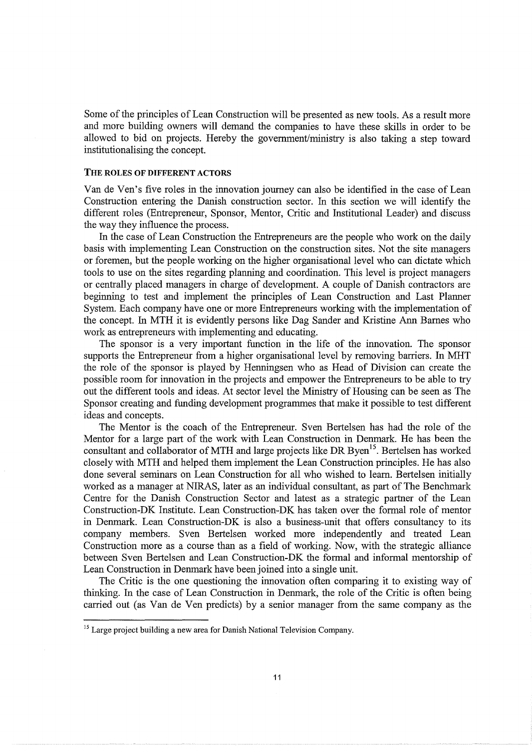Some of the principles of Lean Construction will be presented as new tools. As a result more and more building owners will demand the companies to have these skills in order to be allowed to bid on projects. Hereby the government/ministry is also taking a step toward institutionalising the concept.

#### THE ROLES OF DIFFERENT ACTORS

Van de Yen's five roles in the innovationjourney can also be identified in the case of Lean Construction entering the Danish construction sector. In this section we will identify the different roles (Entrepreneur, Sponsor, Mentor, Critic and Institutional Leader) and discuss the way they influence the process.

In the case of Lean Construction the Entrepreneurs are the people who work on the daily basis with implementing Lean Construction on the construction sites. Not the site managers or foremen, but the people working on the higher organisational level who can dictate which tools to use on the sites regarding planning and coordination. This level is project managers or centrally placed managers in charge of development. A couple of Danish contractors are beginning to test and implement the principles of Lean Construction and Last Planner System. Each company have one or more Entrepreneurs working with the implementation of the concept. In MTH it is evidently persons like Dag Sander and Kristine Ann Barnes who work as entrepreneurs with implementing and educating.

The sponsor is a very important function in the life of the innovation. The sponsor supports the Entrepreneur from a higher organisational level by removing barriers. In MHT the role of the sponsor is played by Henningsen who as Head of Division can create the possible room for innovation in the projects and empower the Entrepreneurs to be able to try out the different tools and ideas. At sector level the Ministry of Housing can be seen as The Sponsor creating and funding development programmes that make it possible to test different ideas and concepts.

The Mentor is the coach of the Entrepreneur. Sven Bertelsen has had the role of the Mentor for a large part of the work with Lean Construction in Denmark. He has been the consultant and collaborator of MTH and large projects like DR Byen<sup>15</sup>. Bertelsen has worked closely with MTH and helped them implement the Lean Construction principles. He has also done several seminars on Lean Construction for all who wished to learn. Bertelsen initially worked as a manager at NIRAS, later as an individual consultant, as part of The Benchmark Centre for the Danish Construction Sector and latest as a strategic partner of the Lean Construction-DK Institute. Lean Construction-DK has taken over the formal role of mentor in Denmark. Lean Construction-DK is also a business-unit that offers consultancy to its company members. Sven Bertelsen worked more independently and treated Lean Construction more as a course than as a field of working. Now, with the strategic alliance between Sven Bertelsen and Lean Construction-DK the formal and informal mentorship of Lean Construction in Denmark have been joined into a single unit.

The Critic is the one questioning the innovation often comparing it to existing way of thinking. In the case of Lean Construction in Denmark, the role of the Critic is often being carried out (as Van de Yen predicts) by a senior manager from the same company as the

<sup>&</sup>lt;sup>15</sup> Large project building a new area for Danish National Television Company.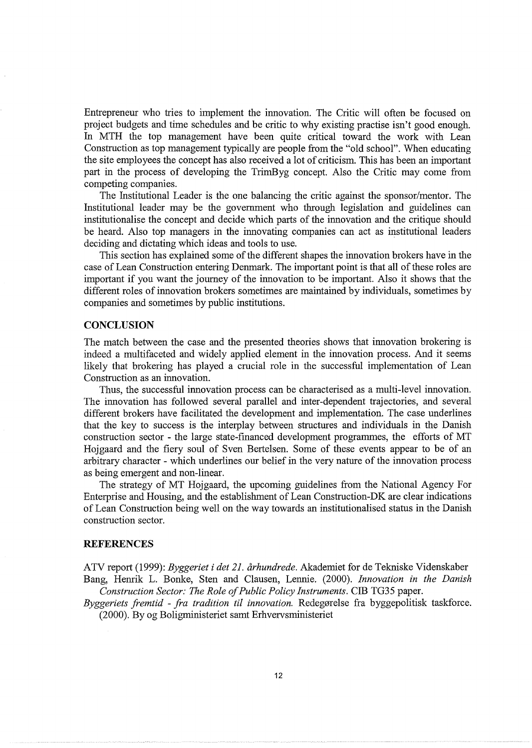Entrepreneur who tries to implement the innovation. The Critic will often be focused on project budgets and time schedules and be critic to why existing practise isn't good enough. In MTH the top management have been quite critical toward the work with Lean Construction as top management typically are people from the "old school". When educating the site employees the concept has also received a lot of criticism. This has been an important part in the process of developing the TrimByg concept. Also the Critic may come from competing companies.

The Institutional Leader is the one balancing the critic against the sponsor/mentor. The Institutional leader may be the government who through legislation and guidelines can institutionalise the concept and decide which parts of the innovation and the critique should be heard. Also top managers in the innovating companies can act as institutional leaders deciding and dictating which ideas and tools to use.

This section has explained some of the different shapes the innovation brokers have in the case of Lean Construction entering Denmark. The important point is that all of these roles are important if you want the journey of the innovation to be important. Also it shows that the different roles of innovation brokers sometimes are maintained by individuals, sometimes by companies and sometimes by public institutions.

## **CONCLUSION**

The match between the case and the presented theories shows that innovation brokering is indeed a multifaceted and widely applied element in the innovation process. And it seems likely that brokering has played a crucial role in the successful implementation of Lean Construction as an innovation.

Thus, the successful innovation process can be characterised as a multi-level innovation. The innovation has followed several parallel and inter-dependent trajectories, and several different brokers have facilitated the development and implementation. The case underlines that the key to success is the interplay between structures and individuals in the Danish construction sector - the large state-financed development programmes, the efforts of MT Hojgaard and the fiery soul of Sven Bertelsen. Some of these events appear to be of an arbitrary character - which underlines our belief in the very nature of the innovation process as being emergent and non-linear.

The strategy of MT Hojgaard, the upcoming guidelines from the National Agency For Enterprise and Housing, and the establishment of Lean Construction-DK are clear indications of Lean Construction being well on the way towards an institutionalised status in the Danish construction sector.

#### **REFERENCES**

ATV report (1999): *Byggeriet i det 21. arhundrede.* Akademiet for de Tekniske Videnskaber

Bang, Henrik L. Banke, Sten and Clausen, Lennie. (2000). *Innovation in the Danish Construction Sector: The Role of Public Policy Instruments.* CIB TG35 paper.

*Byggeriets fremtid - fra tradition til innovation.* Redegørelse fra byggepolitisk taskforce. (2000). By og Boligministeriet samt Erhvervsministeriet